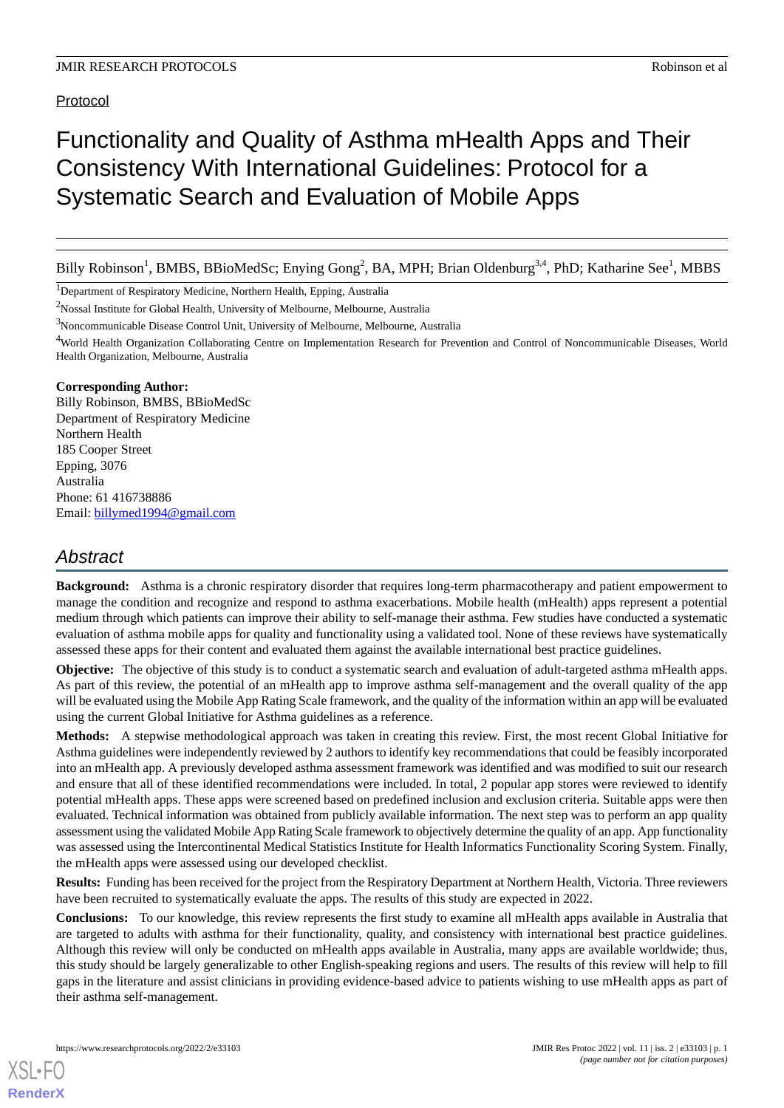## Protocol

# Functionality and Quality of Asthma mHealth Apps and Their Consistency With International Guidelines: Protocol for a Systematic Search and Evaluation of Mobile Apps

Billy Robinson<sup>1</sup>, BMBS, BBioMedSc; Enying Gong<sup>2</sup>, BA, MPH; Brian Oldenburg<sup>3,4</sup>, PhD; Katharine See<sup>1</sup>, MBBS

<sup>1</sup>Department of Respiratory Medicine, Northern Health, Epping, Australia

<sup>2</sup>Nossal Institute for Global Health, University of Melbourne, Melbourne, Australia

<sup>3</sup>Noncommunicable Disease Control Unit, University of Melbourne, Melbourne, Australia

<sup>4</sup>World Health Organization Collaborating Centre on Implementation Research for Prevention and Control of Noncommunicable Diseases, World Health Organization, Melbourne, Australia

#### **Corresponding Author:**

Billy Robinson, BMBS, BBioMedSc Department of Respiratory Medicine Northern Health 185 Cooper Street Epping, 3076 Australia Phone: 61 416738886 Email: [billymed1994@gmail.com](mailto:billymed1994@gmail.com)

# *Abstract*

**Background:** Asthma is a chronic respiratory disorder that requires long-term pharmacotherapy and patient empowerment to manage the condition and recognize and respond to asthma exacerbations. Mobile health (mHealth) apps represent a potential medium through which patients can improve their ability to self-manage their asthma. Few studies have conducted a systematic evaluation of asthma mobile apps for quality and functionality using a validated tool. None of these reviews have systematically assessed these apps for their content and evaluated them against the available international best practice guidelines.

**Objective:** The objective of this study is to conduct a systematic search and evaluation of adult-targeted asthma mHealth apps. As part of this review, the potential of an mHealth app to improve asthma self-management and the overall quality of the app will be evaluated using the Mobile App Rating Scale framework, and the quality of the information within an app will be evaluated using the current Global Initiative for Asthma guidelines as a reference.

**Methods:** A stepwise methodological approach was taken in creating this review. First, the most recent Global Initiative for Asthma guidelines were independently reviewed by 2 authors to identify key recommendations that could be feasibly incorporated into an mHealth app. A previously developed asthma assessment framework was identified and was modified to suit our research and ensure that all of these identified recommendations were included. In total, 2 popular app stores were reviewed to identify potential mHealth apps. These apps were screened based on predefined inclusion and exclusion criteria. Suitable apps were then evaluated. Technical information was obtained from publicly available information. The next step was to perform an app quality assessment using the validated Mobile App Rating Scale framework to objectively determine the quality of an app. App functionality was assessed using the Intercontinental Medical Statistics Institute for Health Informatics Functionality Scoring System. Finally, the mHealth apps were assessed using our developed checklist.

**Results:** Funding has been received for the project from the Respiratory Department at Northern Health, Victoria. Three reviewers have been recruited to systematically evaluate the apps. The results of this study are expected in 2022.

**Conclusions:** To our knowledge, this review represents the first study to examine all mHealth apps available in Australia that are targeted to adults with asthma for their functionality, quality, and consistency with international best practice guidelines. Although this review will only be conducted on mHealth apps available in Australia, many apps are available worldwide; thus, this study should be largely generalizable to other English-speaking regions and users. The results of this review will help to fill gaps in the literature and assist clinicians in providing evidence-based advice to patients wishing to use mHealth apps as part of their asthma self-management.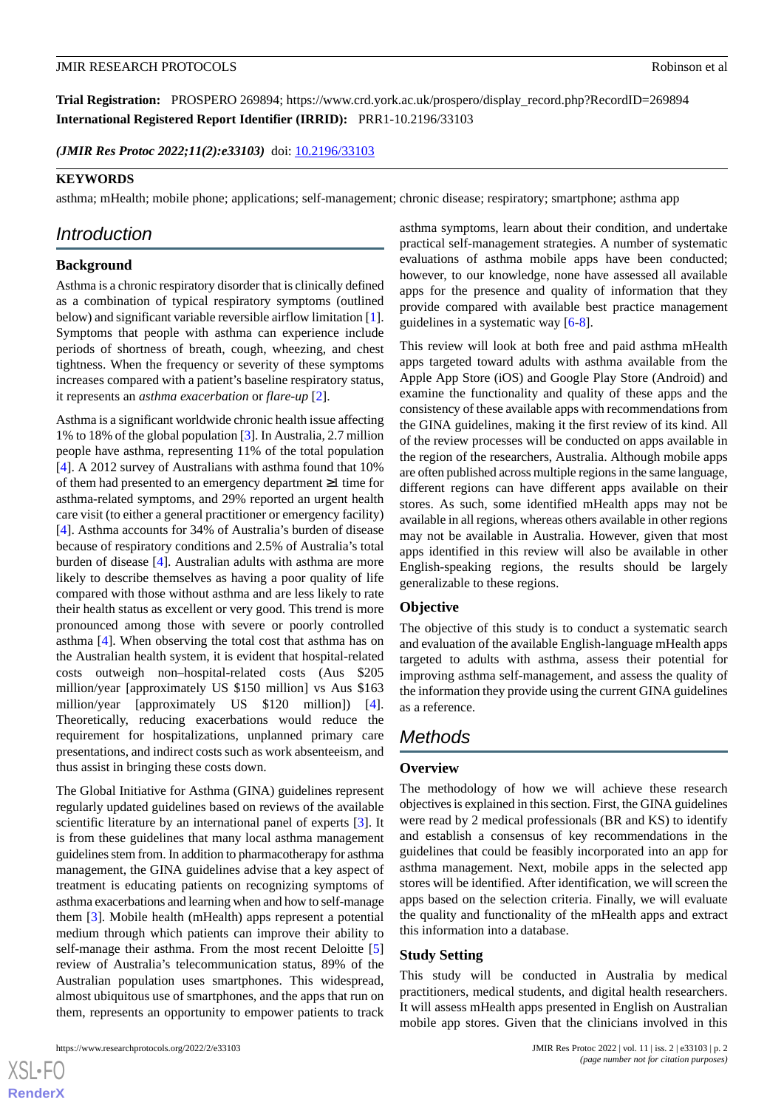**Trial Registration:** PROSPERO 269894; https://www.crd.york.ac.uk/prospero/display\_record.php?RecordID=269894 **International Registered Report Identifier (IRRID):** PRR1-10.2196/33103

(JMIR Res Protoc 2022;11(2):e33103) doi: [10.2196/33103](http://dx.doi.org/10.2196/33103)

#### **KEYWORDS**

asthma; mHealth; mobile phone; applications; self-management; chronic disease; respiratory; smartphone; asthma app

# *Introduction*

## **Background**

Asthma is a chronic respiratory disorder that is clinically defined as a combination of typical respiratory symptoms (outlined below) and significant variable reversible airflow limitation [[1\]](#page-8-0). Symptoms that people with asthma can experience include periods of shortness of breath, cough, wheezing, and chest tightness. When the frequency or severity of these symptoms increases compared with a patient's baseline respiratory status, it represents an *asthma exacerbation* or *flare-up* [[2\]](#page-8-1).

Asthma is a significant worldwide chronic health issue affecting 1% to 18% of the global population [[3](#page-8-2)]. In Australia, 2.7 million people have asthma, representing 11% of the total population [[4\]](#page-8-3). A 2012 survey of Australians with asthma found that 10% of them had presented to an emergency department ≥1 time for asthma-related symptoms, and 29% reported an urgent health care visit (to either a general practitioner or emergency facility) [[4\]](#page-8-3). Asthma accounts for 34% of Australia's burden of disease because of respiratory conditions and 2.5% of Australia's total burden of disease [\[4](#page-8-3)]. Australian adults with asthma are more likely to describe themselves as having a poor quality of life compared with those without asthma and are less likely to rate their health status as excellent or very good. This trend is more pronounced among those with severe or poorly controlled asthma [\[4](#page-8-3)]. When observing the total cost that asthma has on the Australian health system, it is evident that hospital-related costs outweigh non–hospital-related costs (Aus \$205 million/year [approximately US \$150 million] vs Aus \$163 million/year [approximately US \$120 million]) [[4\]](#page-8-3). Theoretically, reducing exacerbations would reduce the requirement for hospitalizations, unplanned primary care presentations, and indirect costs such as work absenteeism, and thus assist in bringing these costs down.

The Global Initiative for Asthma (GINA) guidelines represent regularly updated guidelines based on reviews of the available scientific literature by an international panel of experts [[3\]](#page-8-2). It is from these guidelines that many local asthma management guidelines stem from. In addition to pharmacotherapy for asthma management, the GINA guidelines advise that a key aspect of treatment is educating patients on recognizing symptoms of asthma exacerbations and learning when and how to self-manage them [\[3](#page-8-2)]. Mobile health (mHealth) apps represent a potential medium through which patients can improve their ability to self-manage their asthma. From the most recent Deloitte [\[5](#page-8-4)] review of Australia's telecommunication status, 89% of the Australian population uses smartphones. This widespread, almost ubiquitous use of smartphones, and the apps that run on them, represents an opportunity to empower patients to track

 $XS$  • FO **[RenderX](http://www.renderx.com/)** asthma symptoms, learn about their condition, and undertake practical self-management strategies. A number of systematic evaluations of asthma mobile apps have been conducted; however, to our knowledge, none have assessed all available apps for the presence and quality of information that they provide compared with available best practice management guidelines in a systematic way [[6-](#page-8-5)[8\]](#page-9-0).

This review will look at both free and paid asthma mHealth apps targeted toward adults with asthma available from the Apple App Store (iOS) and Google Play Store (Android) and examine the functionality and quality of these apps and the consistency of these available apps with recommendations from the GINA guidelines, making it the first review of its kind. All of the review processes will be conducted on apps available in the region of the researchers, Australia. Although mobile apps are often published across multiple regions in the same language, different regions can have different apps available on their stores. As such, some identified mHealth apps may not be available in all regions, whereas others available in other regions may not be available in Australia. However, given that most apps identified in this review will also be available in other English-speaking regions, the results should be largely generalizable to these regions.

#### **Objective**

The objective of this study is to conduct a systematic search and evaluation of the available English-language mHealth apps targeted to adults with asthma, assess their potential for improving asthma self-management, and assess the quality of the information they provide using the current GINA guidelines as a reference.

## *Methods*

#### **Overview**

The methodology of how we will achieve these research objectives is explained in this section. First, the GINA guidelines were read by 2 medical professionals (BR and KS) to identify and establish a consensus of key recommendations in the guidelines that could be feasibly incorporated into an app for asthma management. Next, mobile apps in the selected app stores will be identified. After identification, we will screen the apps based on the selection criteria. Finally, we will evaluate the quality and functionality of the mHealth apps and extract this information into a database.

#### **Study Setting**

This study will be conducted in Australia by medical practitioners, medical students, and digital health researchers. It will assess mHealth apps presented in English on Australian mobile app stores. Given that the clinicians involved in this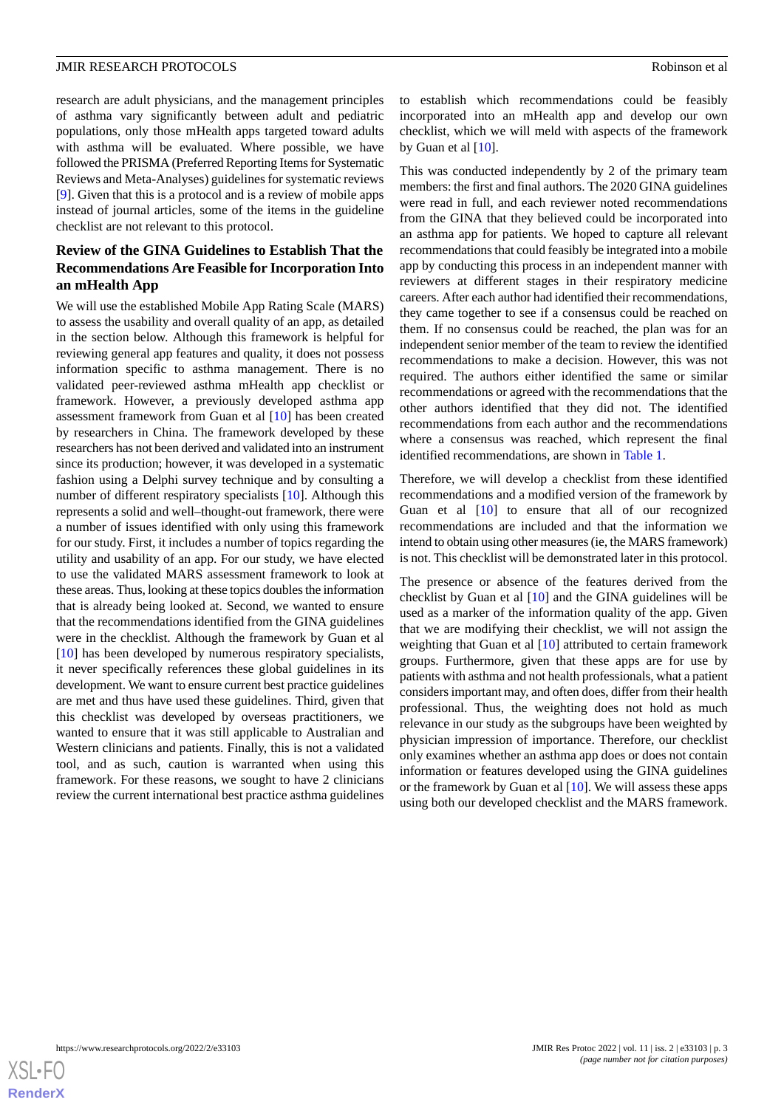research are adult physicians, and the management principles of asthma vary significantly between adult and pediatric populations, only those mHealth apps targeted toward adults with asthma will be evaluated. Where possible, we have followed the PRISMA (Preferred Reporting Items for Systematic Reviews and Meta-Analyses) guidelines for systematic reviews [[9\]](#page-9-1). Given that this is a protocol and is a review of mobile apps instead of journal articles, some of the items in the guideline checklist are not relevant to this protocol.

## **Review of the GINA Guidelines to Establish That the Recommendations Are Feasible for Incorporation Into an mHealth App**

We will use the established Mobile App Rating Scale (MARS) to assess the usability and overall quality of an app, as detailed in the section below. Although this framework is helpful for reviewing general app features and quality, it does not possess information specific to asthma management. There is no validated peer-reviewed asthma mHealth app checklist or framework. However, a previously developed asthma app assessment framework from Guan et al [[10\]](#page-9-2) has been created by researchers in China. The framework developed by these researchers has not been derived and validated into an instrument since its production; however, it was developed in a systematic fashion using a Delphi survey technique and by consulting a number of different respiratory specialists [[10\]](#page-9-2). Although this represents a solid and well–thought-out framework, there were a number of issues identified with only using this framework for our study. First, it includes a number of topics regarding the utility and usability of an app. For our study, we have elected to use the validated MARS assessment framework to look at these areas. Thus, looking at these topics doubles the information that is already being looked at. Second, we wanted to ensure that the recommendations identified from the GINA guidelines were in the checklist. Although the framework by Guan et al [[10\]](#page-9-2) has been developed by numerous respiratory specialists, it never specifically references these global guidelines in its development. We want to ensure current best practice guidelines are met and thus have used these guidelines. Third, given that this checklist was developed by overseas practitioners, we wanted to ensure that it was still applicable to Australian and Western clinicians and patients. Finally, this is not a validated tool, and as such, caution is warranted when using this framework. For these reasons, we sought to have 2 clinicians review the current international best practice asthma guidelines to establish which recommendations could be feasibly incorporated into an mHealth app and develop our own checklist, which we will meld with aspects of the framework by Guan et al  $[10]$  $[10]$ .

This was conducted independently by 2 of the primary team members: the first and final authors. The 2020 GINA guidelines were read in full, and each reviewer noted recommendations from the GINA that they believed could be incorporated into an asthma app for patients. We hoped to capture all relevant recommendations that could feasibly be integrated into a mobile app by conducting this process in an independent manner with reviewers at different stages in their respiratory medicine careers. After each author had identified their recommendations, they came together to see if a consensus could be reached on them. If no consensus could be reached, the plan was for an independent senior member of the team to review the identified recommendations to make a decision. However, this was not required. The authors either identified the same or similar recommendations or agreed with the recommendations that the other authors identified that they did not. The identified recommendations from each author and the recommendations where a consensus was reached, which represent the final identified recommendations, are shown in [Table 1](#page-3-0).

Therefore, we will develop a checklist from these identified recommendations and a modified version of the framework by Guan et al [[10\]](#page-9-2) to ensure that all of our recognized recommendations are included and that the information we intend to obtain using other measures (ie, the MARS framework) is not. This checklist will be demonstrated later in this protocol.

The presence or absence of the features derived from the checklist by Guan et al [[10\]](#page-9-2) and the GINA guidelines will be used as a marker of the information quality of the app. Given that we are modifying their checklist, we will not assign the weighting that Guan et al [[10\]](#page-9-2) attributed to certain framework groups. Furthermore, given that these apps are for use by patients with asthma and not health professionals, what a patient considers important may, and often does, differ from their health professional. Thus, the weighting does not hold as much relevance in our study as the subgroups have been weighted by physician impression of importance. Therefore, our checklist only examines whether an asthma app does or does not contain information or features developed using the GINA guidelines or the framework by Guan et al [\[10](#page-9-2)]. We will assess these apps using both our developed checklist and the MARS framework.

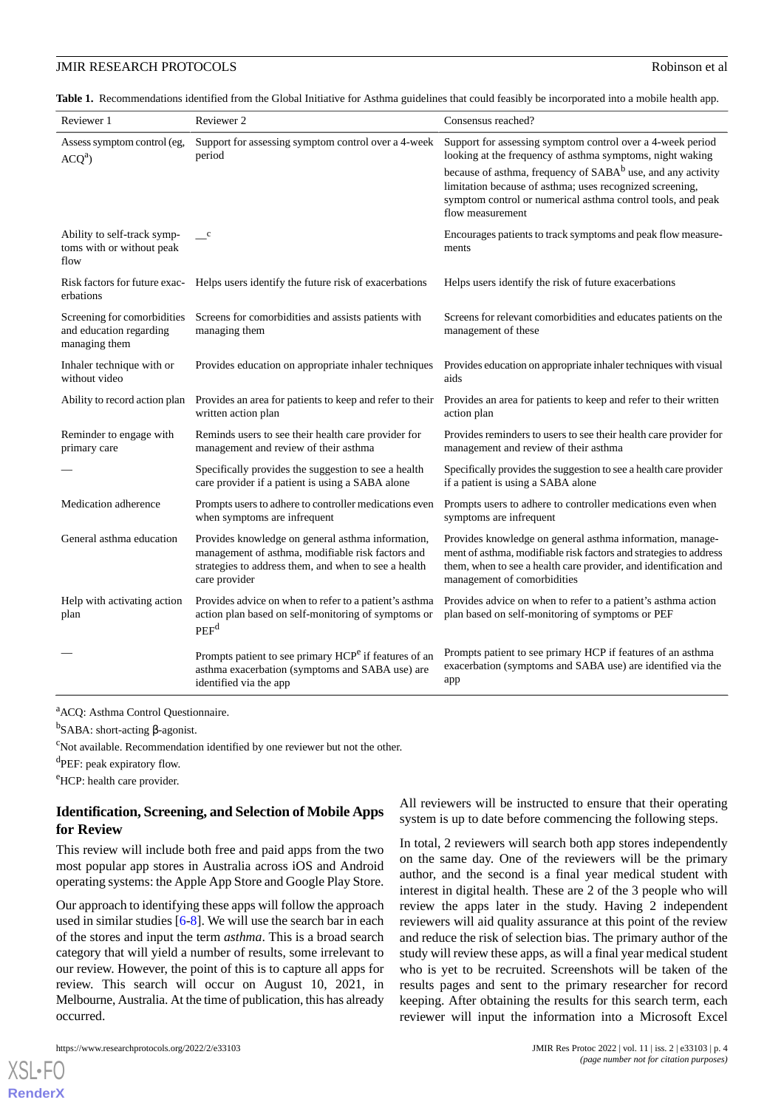<span id="page-3-0"></span>**Table 1.** Recommendations identified from the Global Initiative for Asthma guidelines that could feasibly be incorporated into a mobile health app.

| Reviewer 1                                                              | Reviewer 2                                                                                                                                                                      | Consensus reached?                                                                                                                                                                                                                |
|-------------------------------------------------------------------------|---------------------------------------------------------------------------------------------------------------------------------------------------------------------------------|-----------------------------------------------------------------------------------------------------------------------------------------------------------------------------------------------------------------------------------|
| Assess symptom control (eg,<br>ACQ <sup>a</sup>                         | Support for assessing symptom control over a 4-week<br>period                                                                                                                   | Support for assessing symptom control over a 4-week period<br>looking at the frequency of asthma symptoms, night waking                                                                                                           |
|                                                                         |                                                                                                                                                                                 | because of asthma, frequency of SABA <sup>b</sup> use, and any activity<br>limitation because of asthma; uses recognized screening,<br>symptom control or numerical asthma control tools, and peak<br>flow measurement            |
| Ability to self-track symp-<br>toms with or without peak<br>flow        | $\mathbf{c}$                                                                                                                                                                    | Encourages patients to track symptoms and peak flow measure-<br>ments                                                                                                                                                             |
| Risk factors for future exac-<br>erbations                              | Helps users identify the future risk of exacerbations                                                                                                                           | Helps users identify the risk of future exacerbations                                                                                                                                                                             |
| Screening for comorbidities<br>and education regarding<br>managing them | Screens for comorbidities and assists patients with<br>managing them                                                                                                            | Screens for relevant comorbidities and educates patients on the<br>management of these                                                                                                                                            |
| Inhaler technique with or<br>without video                              | Provides education on appropriate inhaler techniques                                                                                                                            | Provides education on appropriate inhaler techniques with visual<br>aids                                                                                                                                                          |
| Ability to record action plan                                           | Provides an area for patients to keep and refer to their<br>written action plan                                                                                                 | Provides an area for patients to keep and refer to their written<br>action plan                                                                                                                                                   |
| Reminder to engage with<br>primary care                                 | Reminds users to see their health care provider for<br>management and review of their asthma                                                                                    | Provides reminders to users to see their health care provider for<br>management and review of their asthma                                                                                                                        |
|                                                                         | Specifically provides the suggestion to see a health<br>care provider if a patient is using a SABA alone                                                                        | Specifically provides the suggestion to see a health care provider<br>if a patient is using a SABA alone                                                                                                                          |
| Medication adherence                                                    | Prompts users to adhere to controller medications even<br>when symptoms are infrequent                                                                                          | Prompts users to adhere to controller medications even when<br>symptoms are infrequent                                                                                                                                            |
| General asthma education                                                | Provides knowledge on general asthma information,<br>management of asthma, modifiable risk factors and<br>strategies to address them, and when to see a health<br>care provider | Provides knowledge on general asthma information, manage-<br>ment of asthma, modifiable risk factors and strategies to address<br>them, when to see a health care provider, and identification and<br>management of comorbidities |
| Help with activating action<br>plan                                     | Provides advice on when to refer to a patient's asthma<br>action plan based on self-monitoring of symptoms or<br>PEF <sup>d</sup>                                               | Provides advice on when to refer to a patient's asthma action<br>plan based on self-monitoring of symptoms or PEF                                                                                                                 |
|                                                                         | Prompts patient to see primary HCP <sup>e</sup> if features of an<br>asthma exacerbation (symptoms and SABA use) are<br>identified via the app                                  | Prompts patient to see primary HCP if features of an asthma<br>exacerbation (symptoms and SABA use) are identified via the<br>app                                                                                                 |

<sup>a</sup>ACQ: Asthma Control Questionnaire.

b<br>SABA: short-acting β-agonist.

 $\epsilon$ Not available. Recommendation identified by one reviewer but not the other.

<sup>d</sup>PEF: peak expiratory flow.

<sup>e</sup>HCP: health care provider.

## **Identification, Screening, and Selection of Mobile Apps for Review**

This review will include both free and paid apps from the two most popular app stores in Australia across iOS and Android operating systems: the Apple App Store and Google Play Store.

Our approach to identifying these apps will follow the approach used in similar studies [\[6](#page-8-5)-[8\]](#page-9-0). We will use the search bar in each of the stores and input the term *asthma*. This is a broad search category that will yield a number of results, some irrelevant to our review. However, the point of this is to capture all apps for review. This search will occur on August 10, 2021, in Melbourne, Australia. At the time of publication, this has already occurred.

https://www.researchprotocols.org/2022/2/e33103 JMIR Res Protoc 2022 | vol. 11 | iss. 2 | e33103 | p. 4

[XSL](http://www.w3.org/Style/XSL)•FO **[RenderX](http://www.renderx.com/)**

All reviewers will be instructed to ensure that their operating system is up to date before commencing the following steps.

In total, 2 reviewers will search both app stores independently on the same day. One of the reviewers will be the primary author, and the second is a final year medical student with interest in digital health. These are 2 of the 3 people who will review the apps later in the study. Having 2 independent reviewers will aid quality assurance at this point of the review and reduce the risk of selection bias. The primary author of the study will review these apps, as will a final year medical student who is yet to be recruited. Screenshots will be taken of the results pages and sent to the primary researcher for record keeping. After obtaining the results for this search term, each reviewer will input the information into a Microsoft Excel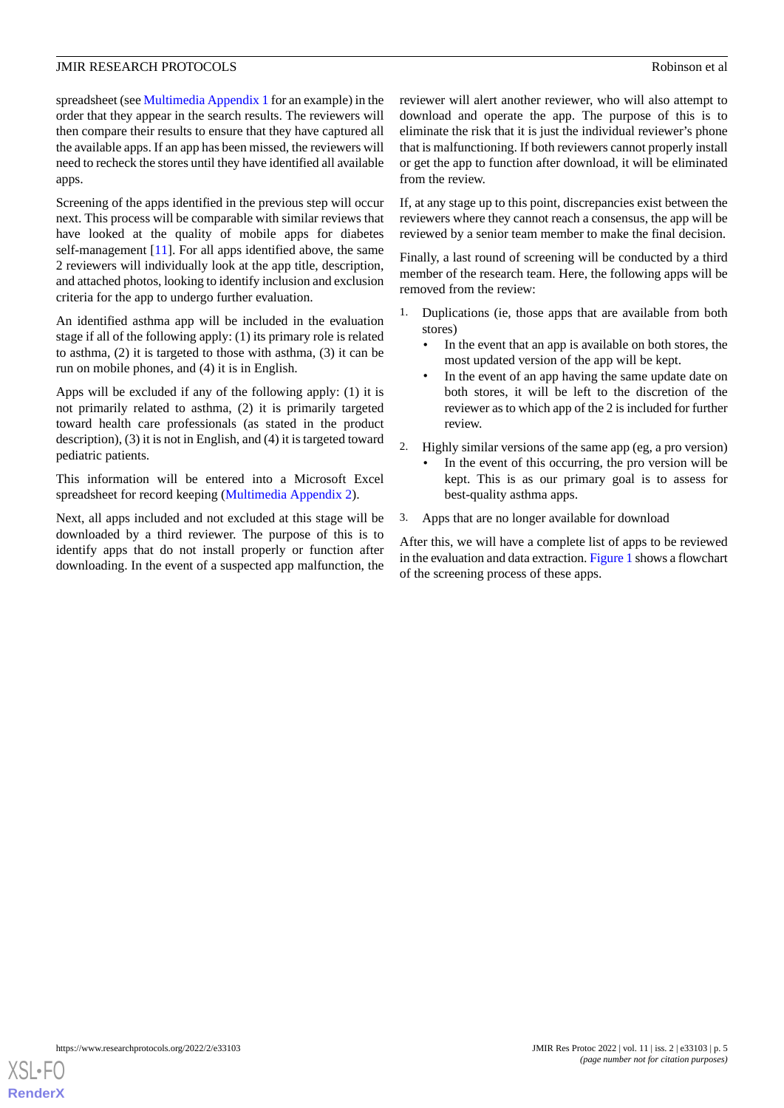spreadsheet (see [Multimedia Appendix 1](#page-8-6) for an example) in the order that they appear in the search results. The reviewers will then compare their results to ensure that they have captured all the available apps. If an app has been missed, the reviewers will need to recheck the stores until they have identified all available apps.

Screening of the apps identified in the previous step will occur next. This process will be comparable with similar reviews that have looked at the quality of mobile apps for diabetes self-management [[11\]](#page-9-3). For all apps identified above, the same 2 reviewers will individually look at the app title, description, and attached photos, looking to identify inclusion and exclusion criteria for the app to undergo further evaluation.

An identified asthma app will be included in the evaluation stage if all of the following apply: (1) its primary role is related to asthma, (2) it is targeted to those with asthma, (3) it can be run on mobile phones, and (4) it is in English.

Apps will be excluded if any of the following apply: (1) it is not primarily related to asthma, (2) it is primarily targeted toward health care professionals (as stated in the product description), (3) it is not in English, and (4) it is targeted toward pediatric patients.

This information will be entered into a Microsoft Excel spreadsheet for record keeping [\(Multimedia Appendix 2](#page-8-7)).

Next, all apps included and not excluded at this stage will be downloaded by a third reviewer. The purpose of this is to identify apps that do not install properly or function after downloading. In the event of a suspected app malfunction, the reviewer will alert another reviewer, who will also attempt to download and operate the app. The purpose of this is to eliminate the risk that it is just the individual reviewer's phone that is malfunctioning. If both reviewers cannot properly install or get the app to function after download, it will be eliminated from the review.

If, at any stage up to this point, discrepancies exist between the reviewers where they cannot reach a consensus, the app will be reviewed by a senior team member to make the final decision.

Finally, a last round of screening will be conducted by a third member of the research team. Here, the following apps will be removed from the review:

- 1. Duplications (ie, those apps that are available from both stores)
	- In the event that an app is available on both stores, the most updated version of the app will be kept.
	- In the event of an app having the same update date on both stores, it will be left to the discretion of the reviewer as to which app of the 2 is included for further review.
- 2. Highly similar versions of the same app (eg, a pro version)
	- In the event of this occurring, the pro version will be kept. This is as our primary goal is to assess for best-quality asthma apps.
- 3. Apps that are no longer available for download

After this, we will have a complete list of apps to be reviewed in the evaluation and data extraction. [Figure 1](#page-5-0) shows a flowchart of the screening process of these apps.

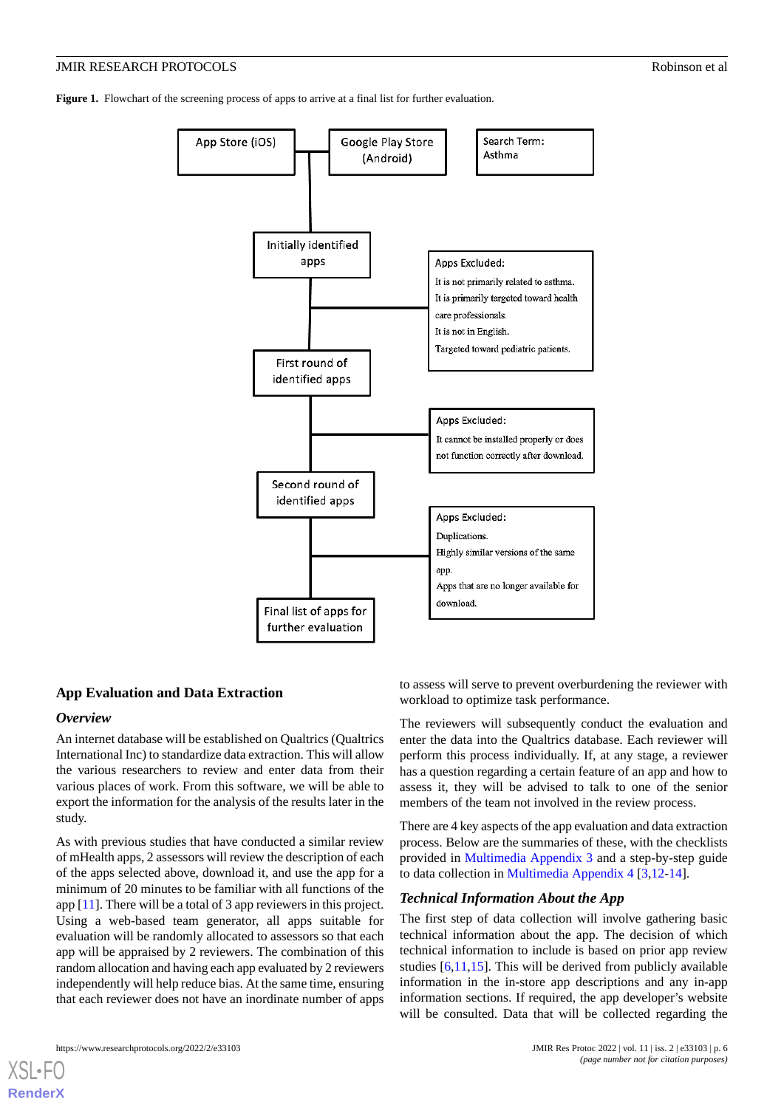<span id="page-5-0"></span>**Figure 1.** Flowchart of the screening process of apps to arrive at a final list for further evaluation.



#### **App Evaluation and Data Extraction**

#### *Overview*

An internet database will be established on Qualtrics (Qualtrics International Inc) to standardize data extraction. This will allow the various researchers to review and enter data from their various places of work. From this software, we will be able to export the information for the analysis of the results later in the study.

As with previous studies that have conducted a similar review of mHealth apps, 2 assessors will review the description of each of the apps selected above, download it, and use the app for a minimum of 20 minutes to be familiar with all functions of the app [\[11](#page-9-3)]. There will be a total of 3 app reviewers in this project. Using a web-based team generator, all apps suitable for evaluation will be randomly allocated to assessors so that each app will be appraised by 2 reviewers. The combination of this random allocation and having each app evaluated by 2 reviewers independently will help reduce bias. At the same time, ensuring that each reviewer does not have an inordinate number of apps

to assess will serve to prevent overburdening the reviewer with workload to optimize task performance.

The reviewers will subsequently conduct the evaluation and enter the data into the Qualtrics database. Each reviewer will perform this process individually. If, at any stage, a reviewer has a question regarding a certain feature of an app and how to assess it, they will be advised to talk to one of the senior members of the team not involved in the review process.

There are 4 key aspects of the app evaluation and data extraction process. Below are the summaries of these, with the checklists provided in [Multimedia Appendix 3](#page-8-8) and a step-by-step guide to data collection in [Multimedia Appendix 4](#page-8-9) [\[3](#page-8-2),[12-](#page-9-4)[14](#page-9-5)].

#### *Technical Information About the App*

The first step of data collection will involve gathering basic technical information about the app. The decision of which technical information to include is based on prior app review studies [[6](#page-8-5),[11,](#page-9-3)[15\]](#page-9-6). This will be derived from publicly available information in the in-store app descriptions and any in-app information sections. If required, the app developer's website will be consulted. Data that will be collected regarding the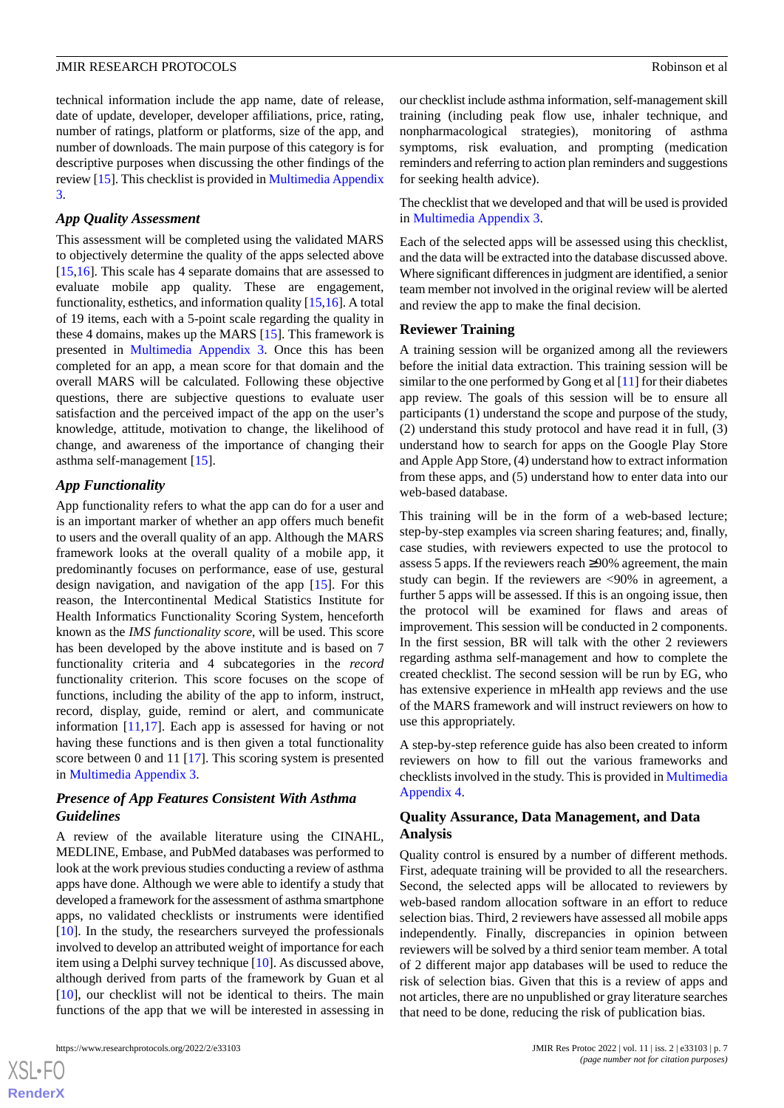technical information include the app name, date of release, date of update, developer, developer affiliations, price, rating, number of ratings, platform or platforms, size of the app, and number of downloads. The main purpose of this category is for descriptive purposes when discussing the other findings of the review [\[15](#page-9-6)]. This checklist is provided in [Multimedia Appendix](#page-8-8) [3.](#page-8-8)

#### *App Quality Assessment*

This assessment will be completed using the validated MARS to objectively determine the quality of the apps selected above [[15](#page-9-6)[,16](#page-9-7)]. This scale has 4 separate domains that are assessed to evaluate mobile app quality. These are engagement, functionality, esthetics, and information quality [[15,](#page-9-6)[16](#page-9-7)]. A total of 19 items, each with a 5-point scale regarding the quality in these 4 domains, makes up the MARS [[15\]](#page-9-6). This framework is presented in [Multimedia Appendix 3.](#page-8-8) Once this has been completed for an app, a mean score for that domain and the overall MARS will be calculated. Following these objective questions, there are subjective questions to evaluate user satisfaction and the perceived impact of the app on the user's knowledge, attitude, motivation to change, the likelihood of change, and awareness of the importance of changing their asthma self-management [\[15](#page-9-6)].

#### *App Functionality*

App functionality refers to what the app can do for a user and is an important marker of whether an app offers much benefit to users and the overall quality of an app. Although the MARS framework looks at the overall quality of a mobile app, it predominantly focuses on performance, ease of use, gestural design navigation, and navigation of the app [[15\]](#page-9-6). For this reason, the Intercontinental Medical Statistics Institute for Health Informatics Functionality Scoring System, henceforth known as the *IMS functionality score*, will be used. This score has been developed by the above institute and is based on 7 functionality criteria and 4 subcategories in the *record* functionality criterion. This score focuses on the scope of functions, including the ability of the app to inform, instruct, record, display, guide, remind or alert, and communicate information [\[11](#page-9-3),[17\]](#page-9-8). Each app is assessed for having or not having these functions and is then given a total functionality score between 0 and 11 [[17\]](#page-9-8). This scoring system is presented in [Multimedia Appendix 3.](#page-8-8)

## *Presence of App Features Consistent With Asthma Guidelines*

A review of the available literature using the CINAHL, MEDLINE, Embase, and PubMed databases was performed to look at the work previous studies conducting a review of asthma apps have done. Although we were able to identify a study that developed a framework for the assessment of asthma smartphone apps, no validated checklists or instruments were identified [[10\]](#page-9-2). In the study, the researchers surveyed the professionals involved to develop an attributed weight of importance for each item using a Delphi survey technique [\[10](#page-9-2)]. As discussed above, although derived from parts of the framework by Guan et al [[10\]](#page-9-2), our checklist will not be identical to theirs. The main functions of the app that we will be interested in assessing in

 $XS$  $\cdot$ FC **[RenderX](http://www.renderx.com/)** our checklist include asthma information, self-management skill training (including peak flow use, inhaler technique, and nonpharmacological strategies), monitoring of asthma symptoms, risk evaluation, and prompting (medication reminders and referring to action plan reminders and suggestions for seeking health advice).

The checklist that we developed and that will be used is provided in [Multimedia Appendix 3](#page-8-8).

Each of the selected apps will be assessed using this checklist, and the data will be extracted into the database discussed above. Where significant differences in judgment are identified, a senior team member not involved in the original review will be alerted and review the app to make the final decision.

#### **Reviewer Training**

A training session will be organized among all the reviewers before the initial data extraction. This training session will be similar to the one performed by Gong et al  $[11]$  $[11]$  for their diabetes app review. The goals of this session will be to ensure all participants (1) understand the scope and purpose of the study, (2) understand this study protocol and have read it in full, (3) understand how to search for apps on the Google Play Store and Apple App Store, (4) understand how to extract information from these apps, and (5) understand how to enter data into our web-based database.

This training will be in the form of a web-based lecture; step-by-step examples via screen sharing features; and, finally, case studies, with reviewers expected to use the protocol to assess 5 apps. If the reviewers reach ≥90% agreement, the main study can begin. If the reviewers are <90% in agreement, a further 5 apps will be assessed. If this is an ongoing issue, then the protocol will be examined for flaws and areas of improvement. This session will be conducted in 2 components. In the first session, BR will talk with the other 2 reviewers regarding asthma self-management and how to complete the created checklist. The second session will be run by EG, who has extensive experience in mHealth app reviews and the use of the MARS framework and will instruct reviewers on how to use this appropriately.

A step-by-step reference guide has also been created to inform reviewers on how to fill out the various frameworks and checklists involved in the study. This is provided in [Multimedia](#page-8-9) [Appendix 4.](#page-8-9)

#### **Quality Assurance, Data Management, and Data Analysis**

Quality control is ensured by a number of different methods. First, adequate training will be provided to all the researchers. Second, the selected apps will be allocated to reviewers by web-based random allocation software in an effort to reduce selection bias. Third, 2 reviewers have assessed all mobile apps independently. Finally, discrepancies in opinion between reviewers will be solved by a third senior team member. A total of 2 different major app databases will be used to reduce the risk of selection bias. Given that this is a review of apps and not articles, there are no unpublished or gray literature searches that need to be done, reducing the risk of publication bias.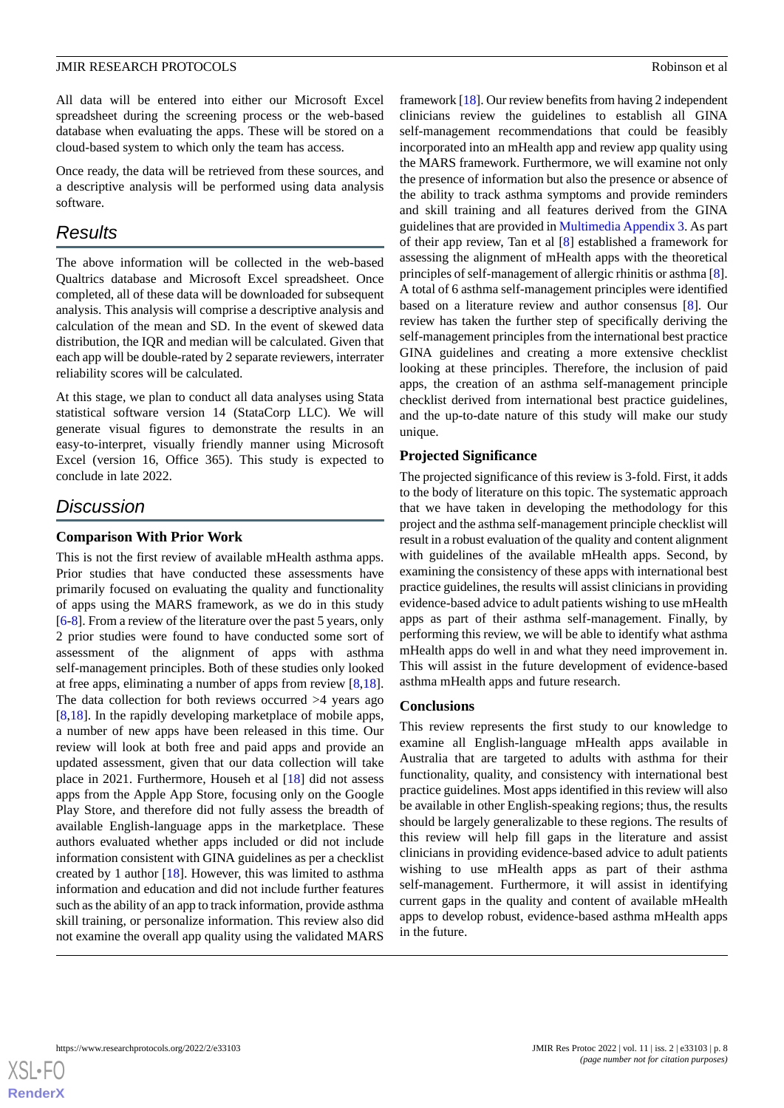All data will be entered into either our Microsoft Excel spreadsheet during the screening process or the web-based database when evaluating the apps. These will be stored on a cloud-based system to which only the team has access.

Once ready, the data will be retrieved from these sources, and a descriptive analysis will be performed using data analysis software.

# *Results*

The above information will be collected in the web-based Qualtrics database and Microsoft Excel spreadsheet. Once completed, all of these data will be downloaded for subsequent analysis. This analysis will comprise a descriptive analysis and calculation of the mean and SD. In the event of skewed data distribution, the IQR and median will be calculated. Given that each app will be double-rated by 2 separate reviewers, interrater reliability scores will be calculated.

At this stage, we plan to conduct all data analyses using Stata statistical software version 14 (StataCorp LLC). We will generate visual figures to demonstrate the results in an easy-to-interpret, visually friendly manner using Microsoft Excel (version 16, Office 365). This study is expected to conclude in late 2022.

# *Discussion*

## **Comparison With Prior Work**

This is not the first review of available mHealth asthma apps. Prior studies that have conducted these assessments have primarily focused on evaluating the quality and functionality of apps using the MARS framework, as we do in this study [[6](#page-8-5)[-8](#page-9-0)]. From a review of the literature over the past 5 years, only 2 prior studies were found to have conducted some sort of assessment of the alignment of apps with asthma self-management principles. Both of these studies only looked at free apps, eliminating a number of apps from review [\[8](#page-9-0),[18\]](#page-9-9). The data collection for both reviews occurred >4 years ago [[8](#page-9-0)[,18](#page-9-9)]. In the rapidly developing marketplace of mobile apps, a number of new apps have been released in this time. Our review will look at both free and paid apps and provide an updated assessment, given that our data collection will take place in 2021. Furthermore, Househ et al [\[18](#page-9-9)] did not assess apps from the Apple App Store, focusing only on the Google Play Store, and therefore did not fully assess the breadth of available English-language apps in the marketplace. These authors evaluated whether apps included or did not include information consistent with GINA guidelines as per a checklist created by 1 author [\[18](#page-9-9)]. However, this was limited to asthma information and education and did not include further features such as the ability of an app to track information, provide asthma skill training, or personalize information. This review also did not examine the overall app quality using the validated MARS

framework [[18\]](#page-9-9). Our review benefits from having 2 independent clinicians review the guidelines to establish all GINA self-management recommendations that could be feasibly incorporated into an mHealth app and review app quality using the MARS framework. Furthermore, we will examine not only the presence of information but also the presence or absence of the ability to track asthma symptoms and provide reminders and skill training and all features derived from the GINA guidelines that are provided in [Multimedia Appendix 3.](#page-8-8) As part of their app review, Tan et al [[8\]](#page-9-0) established a framework for assessing the alignment of mHealth apps with the theoretical principles of self-management of allergic rhinitis or asthma [[8\]](#page-9-0). A total of 6 asthma self-management principles were identified based on a literature review and author consensus [\[8](#page-9-0)]. Our review has taken the further step of specifically deriving the self-management principles from the international best practice GINA guidelines and creating a more extensive checklist looking at these principles. Therefore, the inclusion of paid apps, the creation of an asthma self-management principle checklist derived from international best practice guidelines, and the up-to-date nature of this study will make our study unique.

## **Projected Significance**

The projected significance of this review is 3-fold. First, it adds to the body of literature on this topic. The systematic approach that we have taken in developing the methodology for this project and the asthma self-management principle checklist will result in a robust evaluation of the quality and content alignment with guidelines of the available mHealth apps. Second, by examining the consistency of these apps with international best practice guidelines, the results will assist clinicians in providing evidence-based advice to adult patients wishing to use mHealth apps as part of their asthma self-management. Finally, by performing this review, we will be able to identify what asthma mHealth apps do well in and what they need improvement in. This will assist in the future development of evidence-based asthma mHealth apps and future research.

## **Conclusions**

This review represents the first study to our knowledge to examine all English-language mHealth apps available in Australia that are targeted to adults with asthma for their functionality, quality, and consistency with international best practice guidelines. Most apps identified in this review will also be available in other English-speaking regions; thus, the results should be largely generalizable to these regions. The results of this review will help fill gaps in the literature and assist clinicians in providing evidence-based advice to adult patients wishing to use mHealth apps as part of their asthma self-management. Furthermore, it will assist in identifying current gaps in the quality and content of available mHealth apps to develop robust, evidence-based asthma mHealth apps in the future.

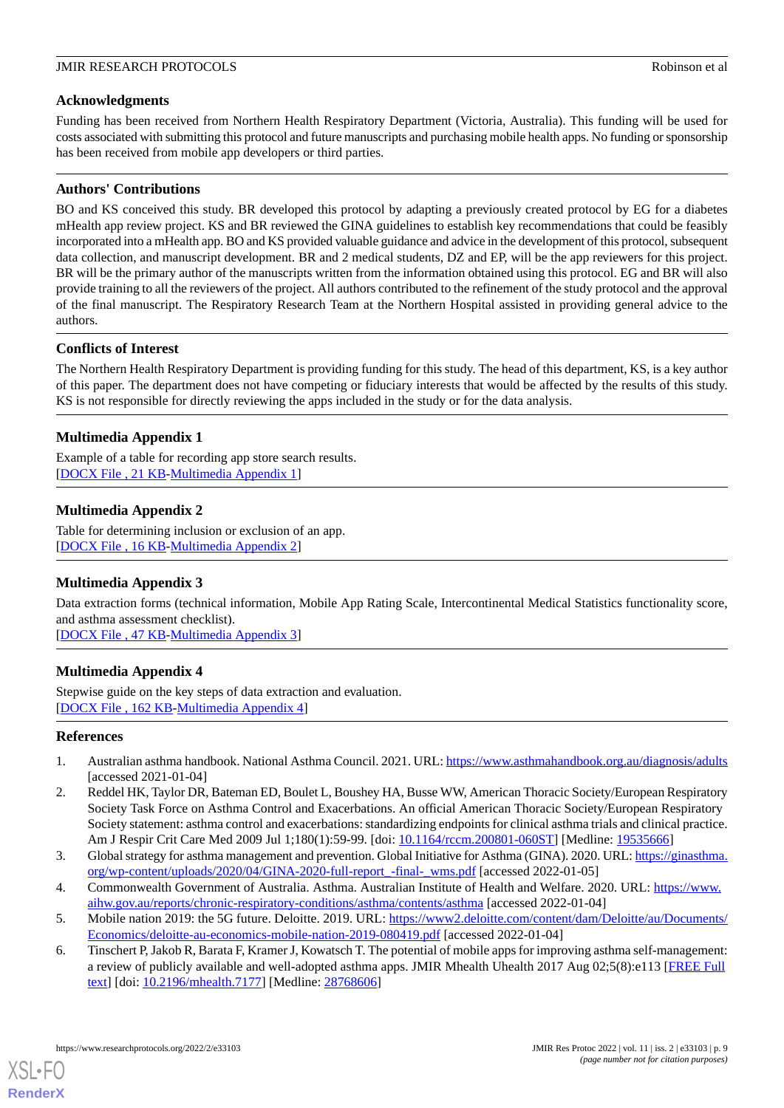## **Acknowledgments**

Funding has been received from Northern Health Respiratory Department (Victoria, Australia). This funding will be used for costs associated with submitting this protocol and future manuscripts and purchasing mobile health apps. No funding or sponsorship has been received from mobile app developers or third parties.

## **Authors' Contributions**

BO and KS conceived this study. BR developed this protocol by adapting a previously created protocol by EG for a diabetes mHealth app review project. KS and BR reviewed the GINA guidelines to establish key recommendations that could be feasibly incorporated into a mHealth app. BO and KS provided valuable guidance and advice in the development of this protocol, subsequent data collection, and manuscript development. BR and 2 medical students, DZ and EP, will be the app reviewers for this project. BR will be the primary author of the manuscripts written from the information obtained using this protocol. EG and BR will also provide training to all the reviewers of the project. All authors contributed to the refinement of the study protocol and the approval of the final manuscript. The Respiratory Research Team at the Northern Hospital assisted in providing general advice to the authors.

## **Conflicts of Interest**

<span id="page-8-6"></span>The Northern Health Respiratory Department is providing funding for this study. The head of this department, KS, is a key author of this paper. The department does not have competing or fiduciary interests that would be affected by the results of this study. KS is not responsible for directly reviewing the apps included in the study or for the data analysis.

## **Multimedia Appendix 1**

<span id="page-8-7"></span>Example of a table for recording app store search results. [[DOCX File , 21 KB](https://jmir.org/api/download?alt_name=resprot_v11i2e33103_app1.docx&filename=37e94896a8e6803b72a9738cecbe5c1b.docx)-[Multimedia Appendix 1\]](https://jmir.org/api/download?alt_name=resprot_v11i2e33103_app1.docx&filename=37e94896a8e6803b72a9738cecbe5c1b.docx)

## **Multimedia Appendix 2**

<span id="page-8-8"></span>Table for determining inclusion or exclusion of an app. [[DOCX File , 16 KB](https://jmir.org/api/download?alt_name=resprot_v11i2e33103_app2.docx&filename=12e8381c876d00b60cd126c15931b1e7.docx)-[Multimedia Appendix 2\]](https://jmir.org/api/download?alt_name=resprot_v11i2e33103_app2.docx&filename=12e8381c876d00b60cd126c15931b1e7.docx)

## **Multimedia Appendix 3**

<span id="page-8-9"></span>Data extraction forms (technical information, Mobile App Rating Scale, Intercontinental Medical Statistics functionality score, and asthma assessment checklist).

[[DOCX File , 47 KB](https://jmir.org/api/download?alt_name=resprot_v11i2e33103_app3.docx&filename=7f993708cd68e9d1094ab3f5f2278e4e.docx)-[Multimedia Appendix 3\]](https://jmir.org/api/download?alt_name=resprot_v11i2e33103_app3.docx&filename=7f993708cd68e9d1094ab3f5f2278e4e.docx)

## **Multimedia Appendix 4**

<span id="page-8-0"></span>Stepwise guide on the key steps of data extraction and evaluation. [[DOCX File , 162 KB-Multimedia Appendix 4\]](https://jmir.org/api/download?alt_name=resprot_v11i2e33103_app4.docx&filename=ef33bf2ec6a1aafd4efa08518bd1cc16.docx)

## <span id="page-8-1"></span>**References**

- <span id="page-8-2"></span>1. Australian asthma handbook. National Asthma Council. 2021. URL:<https://www.asthmahandbook.org.au/diagnosis/adults> [accessed 2021-01-04]
- <span id="page-8-3"></span>2. Reddel HK, Taylor DR, Bateman ED, Boulet L, Boushey HA, Busse WW, American Thoracic Society/European Respiratory Society Task Force on Asthma Control and Exacerbations. An official American Thoracic Society/European Respiratory Society statement: asthma control and exacerbations: standardizing endpoints for clinical asthma trials and clinical practice. Am J Respir Crit Care Med 2009 Jul 1;180(1):59-99. [doi: [10.1164/rccm.200801-060ST\]](http://dx.doi.org/10.1164/rccm.200801-060ST) [Medline: [19535666](http://www.ncbi.nlm.nih.gov/entrez/query.fcgi?cmd=Retrieve&db=PubMed&list_uids=19535666&dopt=Abstract)]
- <span id="page-8-5"></span><span id="page-8-4"></span>3. Global strategy for asthma management and prevention. Global Initiative for Asthma (GINA). 2020. URL: [https://ginasthma.](https://ginasthma.org/wp-content/uploads/2020/04/GINA-2020-full-report_-final-_wms.pdf) [org/wp-content/uploads/2020/04/GINA-2020-full-report\\_-final-\\_wms.pdf](https://ginasthma.org/wp-content/uploads/2020/04/GINA-2020-full-report_-final-_wms.pdf) [accessed 2022-01-05]
- 4. Commonwealth Government of Australia. Asthma. Australian Institute of Health and Welfare. 2020. URL: [https://www.](https://www.aihw.gov.au/reports/chronic-respiratory-conditions/asthma/contents/asthma) [aihw.gov.au/reports/chronic-respiratory-conditions/asthma/contents/asthma](https://www.aihw.gov.au/reports/chronic-respiratory-conditions/asthma/contents/asthma) [accessed 2022-01-04]
- 5. Mobile nation 2019: the 5G future. Deloitte. 2019. URL: [https://www2.deloitte.com/content/dam/Deloitte/au/Documents/](https://www2.deloitte.com/content/dam/Deloitte/au/Documents/Economics/deloitte-au-economics-mobile-nation-2019-080419.pdf) [Economics/deloitte-au-economics-mobile-nation-2019-080419.pdf](https://www2.deloitte.com/content/dam/Deloitte/au/Documents/Economics/deloitte-au-economics-mobile-nation-2019-080419.pdf) [accessed 2022-01-04]
- 6. Tinschert P, Jakob R, Barata F, Kramer J, Kowatsch T. The potential of mobile apps for improving asthma self-management: a review of publicly available and well-adopted asthma apps. JMIR Mhealth Uhealth 2017 Aug 02;5(8):e113 [[FREE Full](http://mhealth.jmir.org/2017/8/e113/) [text](http://mhealth.jmir.org/2017/8/e113/)] [doi: [10.2196/mhealth.7177\]](http://dx.doi.org/10.2196/mhealth.7177) [Medline: [28768606](http://www.ncbi.nlm.nih.gov/entrez/query.fcgi?cmd=Retrieve&db=PubMed&list_uids=28768606&dopt=Abstract)]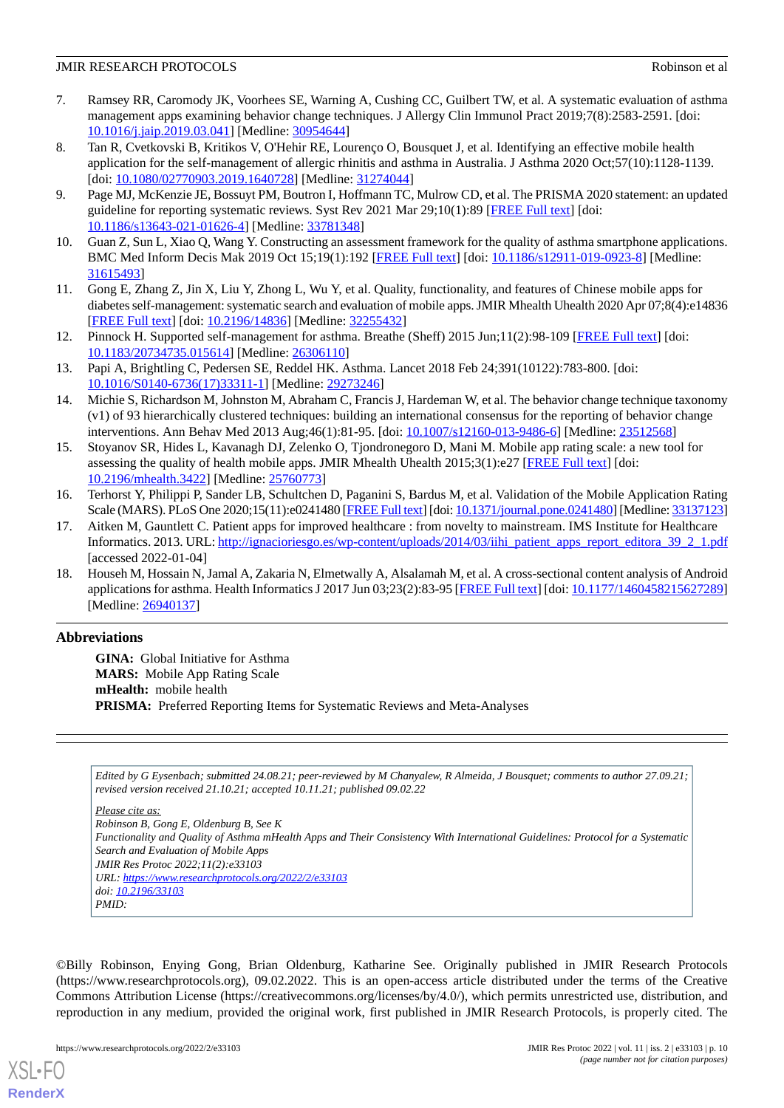#### JMIR RESEARCH PROTOCOLS Robinson et al

- 7. Ramsey RR, Caromody JK, Voorhees SE, Warning A, Cushing CC, Guilbert TW, et al. A systematic evaluation of asthma management apps examining behavior change techniques. J Allergy Clin Immunol Pract 2019;7(8):2583-2591. [doi: [10.1016/j.jaip.2019.03.041\]](http://dx.doi.org/10.1016/j.jaip.2019.03.041) [Medline: [30954644](http://www.ncbi.nlm.nih.gov/entrez/query.fcgi?cmd=Retrieve&db=PubMed&list_uids=30954644&dopt=Abstract)]
- <span id="page-9-0"></span>8. Tan R, Cvetkovski B, Kritikos V, O'Hehir RE, Lourenço O, Bousquet J, et al. Identifying an effective mobile health application for the self-management of allergic rhinitis and asthma in Australia. J Asthma 2020 Oct;57(10):1128-1139. [doi: [10.1080/02770903.2019.1640728](http://dx.doi.org/10.1080/02770903.2019.1640728)] [Medline: [31274044\]](http://www.ncbi.nlm.nih.gov/entrez/query.fcgi?cmd=Retrieve&db=PubMed&list_uids=31274044&dopt=Abstract)
- <span id="page-9-2"></span><span id="page-9-1"></span>9. Page MJ, McKenzie JE, Bossuyt PM, Boutron I, Hoffmann TC, Mulrow CD, et al. The PRISMA 2020 statement: an updated guideline for reporting systematic reviews. Syst Rev 2021 Mar 29;10(1):89 [[FREE Full text](https://systematicreviewsjournal.biomedcentral.com/articles/10.1186/s13643-021-01626-4)] [doi: [10.1186/s13643-021-01626-4\]](http://dx.doi.org/10.1186/s13643-021-01626-4) [Medline: [33781348\]](http://www.ncbi.nlm.nih.gov/entrez/query.fcgi?cmd=Retrieve&db=PubMed&list_uids=33781348&dopt=Abstract)
- <span id="page-9-3"></span>10. Guan Z, Sun L, Xiao Q, Wang Y. Constructing an assessment framework for the quality of asthma smartphone applications. BMC Med Inform Decis Mak 2019 Oct 15;19(1):192 [[FREE Full text](https://bmcmedinformdecismak.biomedcentral.com/articles/10.1186/s12911-019-0923-8)] [doi: [10.1186/s12911-019-0923-8\]](http://dx.doi.org/10.1186/s12911-019-0923-8) [Medline: [31615493](http://www.ncbi.nlm.nih.gov/entrez/query.fcgi?cmd=Retrieve&db=PubMed&list_uids=31615493&dopt=Abstract)]
- <span id="page-9-4"></span>11. Gong E, Zhang Z, Jin X, Liu Y, Zhong L, Wu Y, et al. Quality, functionality, and features of Chinese mobile apps for diabetes self-management: systematic search and evaluation of mobile apps. JMIR Mhealth Uhealth 2020 Apr 07;8(4):e14836 [[FREE Full text](https://mhealth.jmir.org/2020/4/e14836/)] [doi: [10.2196/14836\]](http://dx.doi.org/10.2196/14836) [Medline: [32255432\]](http://www.ncbi.nlm.nih.gov/entrez/query.fcgi?cmd=Retrieve&db=PubMed&list_uids=32255432&dopt=Abstract)
- 12. Pinnock H. Supported self-management for asthma. Breathe (Sheff) 2015 Jun;11(2):98-109 [\[FREE Full text\]](http://europepmc.org/abstract/MED/26306110) [doi: [10.1183/20734735.015614](http://dx.doi.org/10.1183/20734735.015614)] [Medline: [26306110](http://www.ncbi.nlm.nih.gov/entrez/query.fcgi?cmd=Retrieve&db=PubMed&list_uids=26306110&dopt=Abstract)]
- <span id="page-9-5"></span>13. Papi A, Brightling C, Pedersen SE, Reddel HK. Asthma. Lancet 2018 Feb 24;391(10122):783-800. [doi: [10.1016/S0140-6736\(17\)33311-1\]](http://dx.doi.org/10.1016/S0140-6736(17)33311-1) [Medline: [29273246](http://www.ncbi.nlm.nih.gov/entrez/query.fcgi?cmd=Retrieve&db=PubMed&list_uids=29273246&dopt=Abstract)]
- <span id="page-9-6"></span>14. Michie S, Richardson M, Johnston M, Abraham C, Francis J, Hardeman W, et al. The behavior change technique taxonomy (v1) of 93 hierarchically clustered techniques: building an international consensus for the reporting of behavior change interventions. Ann Behav Med 2013 Aug;46(1):81-95. [doi: [10.1007/s12160-013-9486-6\]](http://dx.doi.org/10.1007/s12160-013-9486-6) [Medline: [23512568\]](http://www.ncbi.nlm.nih.gov/entrez/query.fcgi?cmd=Retrieve&db=PubMed&list_uids=23512568&dopt=Abstract)
- <span id="page-9-7"></span>15. Stoyanov SR, Hides L, Kavanagh DJ, Zelenko O, Tjondronegoro D, Mani M. Mobile app rating scale: a new tool for assessing the quality of health mobile apps. JMIR Mhealth Uhealth  $2015;3(1):e27$  [\[FREE Full text\]](http://mhealth.jmir.org/2015/1/e27/) [doi: [10.2196/mhealth.3422](http://dx.doi.org/10.2196/mhealth.3422)] [Medline: [25760773](http://www.ncbi.nlm.nih.gov/entrez/query.fcgi?cmd=Retrieve&db=PubMed&list_uids=25760773&dopt=Abstract)]
- <span id="page-9-8"></span>16. Terhorst Y, Philippi P, Sander LB, Schultchen D, Paganini S, Bardus M, et al. Validation of the Mobile Application Rating Scale (MARS). PLoS One 2020;15(11):e0241480 [[FREE Full text\]](https://dx.plos.org/10.1371/journal.pone.0241480) [doi: [10.1371/journal.pone.0241480\]](http://dx.doi.org/10.1371/journal.pone.0241480) [Medline: [33137123\]](http://www.ncbi.nlm.nih.gov/entrez/query.fcgi?cmd=Retrieve&db=PubMed&list_uids=33137123&dopt=Abstract)
- <span id="page-9-9"></span>17. Aitken M, Gauntlett C. Patient apps for improved healthcare : from novelty to mainstream. IMS Institute for Healthcare Informatics. 2013. URL: [http://ignacioriesgo.es/wp-content/uploads/2014/03/iihi\\_patient\\_apps\\_report\\_editora\\_39\\_2\\_1.pdf](http://ignacioriesgo.es/wp-content/uploads/2014/03/iihi_patient_apps_report_editora_39_2_1.pdf) [accessed 2022-01-04]
- 18. Househ M, Hossain N, Jamal A, Zakaria N, Elmetwally A, Alsalamah M, et al. A cross-sectional content analysis of Android applications for asthma. Health Informatics J 2017 Jun 03;23(2):83-95 [[FREE Full text](https://journals.sagepub.com/doi/10.1177/1460458215627289?url_ver=Z39.88-2003&rfr_id=ori:rid:crossref.org&rfr_dat=cr_pub%3dpubmed)] [doi: [10.1177/1460458215627289](http://dx.doi.org/10.1177/1460458215627289)] [Medline: [26940137](http://www.ncbi.nlm.nih.gov/entrez/query.fcgi?cmd=Retrieve&db=PubMed&list_uids=26940137&dopt=Abstract)]

## **Abbreviations**

**GINA:** Global Initiative for Asthma **MARS:** Mobile App Rating Scale **mHealth:** mobile health PRISMA: Preferred Reporting Items for Systematic Reviews and Meta-Analyses

*Edited by G Eysenbach; submitted 24.08.21; peer-reviewed by M Chanyalew, R Almeida, J Bousquet; comments to author 27.09.21; revised version received 21.10.21; accepted 10.11.21; published 09.02.22*

*Please cite as: Robinson B, Gong E, Oldenburg B, See K Functionality and Quality of Asthma mHealth Apps and Their Consistency With International Guidelines: Protocol for a Systematic Search and Evaluation of Mobile Apps JMIR Res Protoc 2022;11(2):e33103 URL: <https://www.researchprotocols.org/2022/2/e33103> doi: [10.2196/33103](http://dx.doi.org/10.2196/33103) PMID:*

©Billy Robinson, Enying Gong, Brian Oldenburg, Katharine See. Originally published in JMIR Research Protocols (https://www.researchprotocols.org), 09.02.2022. This is an open-access article distributed under the terms of the Creative Commons Attribution License (https://creativecommons.org/licenses/by/4.0/), which permits unrestricted use, distribution, and reproduction in any medium, provided the original work, first published in JMIR Research Protocols, is properly cited. The